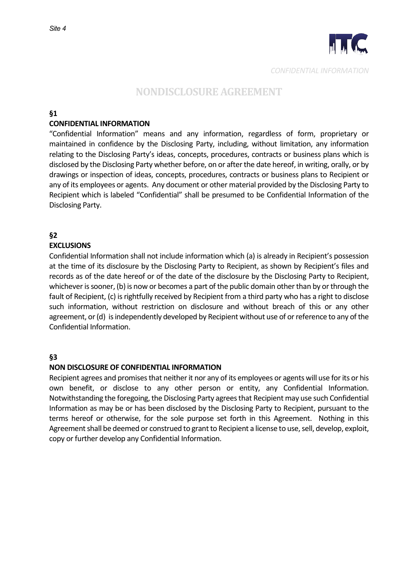

#### **§1**

## **CONFIDENTIAL INFORMATION**

"Confidential Information" means and any information, regardless of form, proprietary or maintained in confidence by the **Belosing Arty,** including, without limitation, any information relating to the  $\overline{\mathbf{g}}$  dosing  $\overline{\mathbf{g}}$  art y's ideas, concepts, procedures, contracts or business plans which is disclosed by the **B** closing **a**rty whether before, on or after the date hereof, in writing, orally, or by drawings or inspection of ideas, concepts, procedures, contracts or business plans to ecipient or any of its employees or agents. Any document or other material provided by the Boclosing arty to ecipient which is labeled "anfidential" shall be presumed to be **M** anfidential **M** ormation of the isclosing arty.

## **§2**

## **EXCLUSIONS**

Confidential **M** formation shall not include information which (a) is already in *Ecipient's possession* at the time of its disclosure by the Exclosing arty to ecipient, as shown by ecipient's files and records as of the date hereof or of the date of the disclosure by the **Belosing Brity to Ecipient**, whichever is sooner, (b) is now or becomes a part of the public domain other than by or through the fault of Recipient, (c) is rightfully received by **example interpolant from a third party who has a right to** disclose such information, without restriction on disclosure and without breach of this or any other agreement, or (d) is independently developed by Recipient without use of or reference to any of the **a**nfidential **a**formation.

## **§3**

## **NON DISCLOSURE OF CONFIDENTIAL INFORMATION**

Recipient agrees and promises that neither it nor any of its employees or agents will use for its or his own benefit, or disclose to any other person or entity, any anfidentia  $l$  afformation. Notwithstanding the foregoing, the **B**closing **a**rty agrees that **eximent** may use such **antidential** nation as may be or has been disclosed by the isclosing arty to ecipient, pursuant to the terms hereof or otherwise, for the sole purpose set forth in this greement. Nothing in this greement shall be deemed or construed to grant to ecipient a license t o use, sell, develop, exploit, copy or further develop any **antidential aformation.**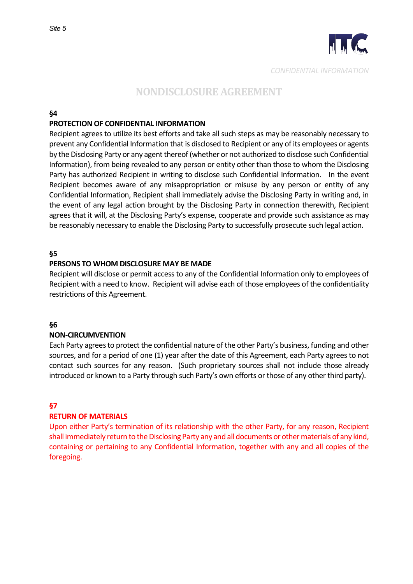

## **§4**

#### **PROTECTION OF CONFIDENTIAL INFORMATION**

Recipient agrees to utilize its best efforts and take all such steps as may be reasonably necessary to prevent any confidential information that is disclosed to recipient or any of its employees or agents by the disclosing party or any agent thereof (whether or not authorized to disclose such confidential information), from being revealed to any person or entity other than those to whom the disclosing party has authorized recipient in writing to disclose such confidential information. In the event recipient becomes aware of any misappropriation or misuse by any person or entity of any confidential information, recipient shall immediately advise the disclosing party in writing and, in the event of any legal action brought by the disclosing party in connection therewith, recipient agrees that it will, at the disclosing party's expense, cooperate and provide such assistance as may be reasonably necessary to enable the disclosing party to successfully prosecute such legal action.

### **§5**

#### **PERSONS TO WHOM DISCLOSURE MAY BE MADE**

Recipient will disclose or permit access to any of the confidential information only to employees of recipient with a need to know. Recipient will advise each of those employees of the confidentiality restrictions of this agreement.

#### **§6**

#### **NON-CIRCUMVENTION**

Each party agrees to protect the confidential nature of the other party's business, funding and other sources, and for a period of one (1) year after the date of this agreement, each party agrees to not contact such sources for any reason. (Such proprietary sources shall not include those already introduced or known to a party through such party's own efforts or those of any other third party).

## **§7**

#### **RETURN OF MATERIALS**

Upon either party's termination of its relationship with the other party, for any reason, recipient shall immediately return to the disclosing party any and all documents or other materials of any kind, containing or pertaining to any confidential information, together with any and all copies of the foregoing.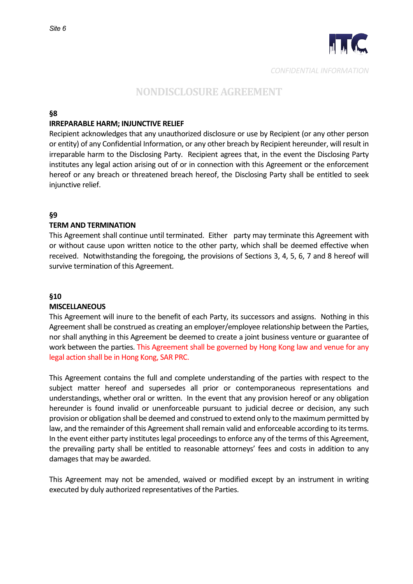

### **§8**

#### **IRREPARABLE HARM; INJUNCTIVE RELIEF**

Recipient acknowledges that any unauthorized disclosure or use by recipient (or any other person or entity) of any confidential information, or any other breach by Recipient hereunder, will result in irreparable harm to the disclosing party. Recipient agrees that, in the event the disclosing party institutes any legal action arising out of or in connection with this agreement or the enforcement hereof or any breach or threatened breach hereof, the disclosing party shall be entitled to seek injunctive relief.

## **§9**

### **TERM AND TERMINATION**

This Agreement shall continue until terminated. Either party may terminate this agreement with or without cause upon written notice to the other party, which shall be deemed effective when received. Notwithstanding the foregoing, the provisions of sections 3, 4, 5, 6, 7 and 8 hereof will survive termination of this agreement.

### **§10**

#### **MISCELLANEOUS**

This agreement will inure to the benefit of each party, its successors and assigns. Nothing in this agreement shall be construed as creating an employer/employee relationship between the parties, nor shall anything in this agreement be deemed to create a joint business venture or guarantee of work between the parties. This Agreement shall be governed by Hong Kong law and venue for any legal action shall be in Hong Kong, SAR PRC.

This agreement contains the full and complete understanding of the parties with respect to the subject matter hereof and supersedes all prior or contemporaneous representations and understandings, whether oral or written. In the event that any provision hereof or any obligation hereunder is found invalid or unenforceable pursuant to judicial decree or decision, any such provision or obligation shall be deemed and construed to extend only to the maximum permitted by law, and the remainder of this agreement shall remain valid and enforceable according to its terms. In the event either party institutes legal proceedings to enforce any of the terms of this agreement, the prevailing party shall be entitled to reasonable attorneys' fees and costs in addition to any damages that may be awarded.

This agreement may not be amended, waived or modified except by an instrument in writing executed by duly authorized representatives of the parties.